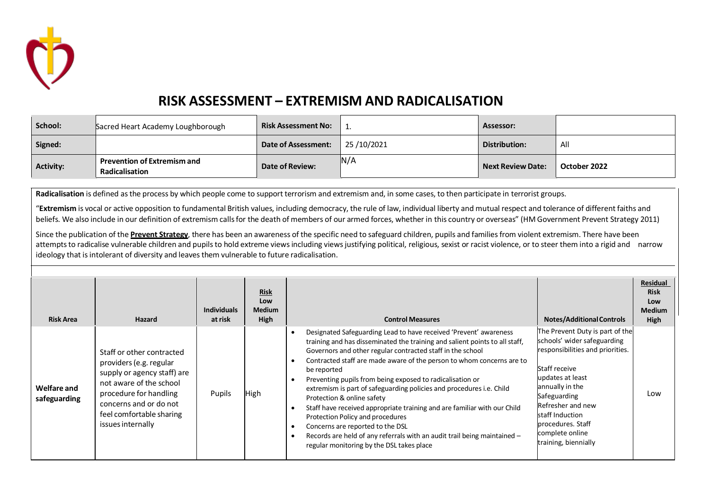

## **RISK ASSESSMENT – EXTREMISM AND RADICALISATION**

| School:          | Sacred Heart Academy Loughborough                    | <b>Risk Assessment No:</b> |            | Assessor:                |              |
|------------------|------------------------------------------------------|----------------------------|------------|--------------------------|--------------|
| Signed:          |                                                      | Date of Assessment:        | 25/10/2021 | Distribution:            | All          |
| <b>Activity:</b> | <b>Prevention of Extremism and</b><br>Radicalisation | Date of Review:            | ∣N/A       | <b>Next Review Date:</b> | October 2022 |

**Radicalisation** is defined asthe process by which people come to support terrorism and extremism and, in some cases, to then participate in terrorist groups.

"**Extremism** is vocal or active opposition to fundamental British values, including democracy, the rule of law, individual liberty and mutual respect and tolerance of different faiths and beliefs. We also include in our definition of extremism calls for the death of members of our armed forces, whether in this country or overseas" (HM Government Prevent Strategy 2011)

Since the publication of the **Prevent [Strategy](http://trixresources.proceduresonline.com/nat_key/keywords/a_prevent.html)**, there has been an awareness of the specific need to safeguard children, pupils and families from violent extremism. There have been attempts to radicalise vulnerable children and pupils to hold extreme views including views justifying political, religious, sexist or racist violence, or to steer them into a rigid and narrow ideology that is intolerant of diversity and leaves them vulnerable to future radicalisation.

| <b>Risk Area</b>                   | <b>Hazard</b>                                                                                                                                                                                                       | <b>Individuals</b><br>at risk | <b>Risk</b><br>Low<br><b>Medium</b><br>High | <b>Control Measures</b><br><b>Notes/Additional Controls</b>                                                                                                                                                                                                                                                                                                                                                                                                                                                                                                                                                                                                                                                                                                                                                                                                                                                                                                                                                                                   | Residual<br><b>Risk</b><br>Low<br><b>Medium</b><br><b>High</b> |
|------------------------------------|---------------------------------------------------------------------------------------------------------------------------------------------------------------------------------------------------------------------|-------------------------------|---------------------------------------------|-----------------------------------------------------------------------------------------------------------------------------------------------------------------------------------------------------------------------------------------------------------------------------------------------------------------------------------------------------------------------------------------------------------------------------------------------------------------------------------------------------------------------------------------------------------------------------------------------------------------------------------------------------------------------------------------------------------------------------------------------------------------------------------------------------------------------------------------------------------------------------------------------------------------------------------------------------------------------------------------------------------------------------------------------|----------------------------------------------------------------|
| <b>Welfare and</b><br>safeguarding | Staff or other contracted<br>providers (e.g. regular<br>supply or agency staff) are<br>not aware of the school<br>procedure for handling<br>concerns and or do not<br>feel comfortable sharing<br>issues internally | Pupils                        | High                                        | The Prevent Duty is part of the<br>Designated Safeguarding Lead to have received 'Prevent' awareness<br>schools' wider safeguarding<br>training and has disseminated the training and salient points to all staff,<br>responsibilities and priorities.<br>Governors and other regular contracted staff in the school<br>Contracted staff are made aware of the person to whom concerns are to<br>Staff receive<br>be reported<br>updates at least<br>Preventing pupils from being exposed to radicalisation or<br>annually in the<br>extremism is part of safeguarding policies and procedures i.e. Child<br>Safeguarding<br>Protection & online safety<br>Refresher and new<br>Staff have received appropriate training and are familiar with our Child<br>staff Induction<br>Protection Policy and procedures<br>lprocedures. Staff<br>Concerns are reported to the DSL<br>complete online<br>Records are held of any referrals with an audit trail being maintained -<br>training, biennially<br>regular monitoring by the DSL takes place | Low                                                            |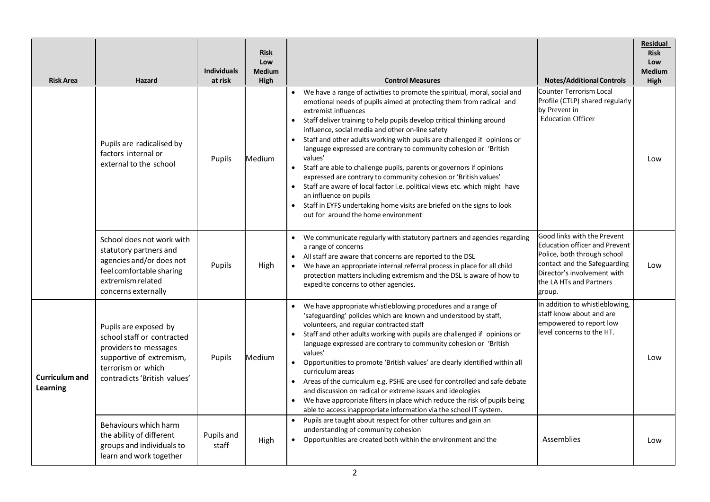| <b>Risk Area</b>                  | <b>Hazard</b>                                                                                                                                                  | <b>Individuals</b><br>at risk | <b>Risk</b><br>Low<br><b>Medium</b><br>High | <b>Control Measures</b>                                                                                                                                                                                                                                                                                                                                                                                                                                                                                                                                                                                                                                                                                                                                                                                                                                | <b>Notes/Additional Controls</b>                                                                                                                                                                       | <b>Residual</b><br><b>Risk</b><br>Low<br><b>Medium</b><br>High |
|-----------------------------------|----------------------------------------------------------------------------------------------------------------------------------------------------------------|-------------------------------|---------------------------------------------|--------------------------------------------------------------------------------------------------------------------------------------------------------------------------------------------------------------------------------------------------------------------------------------------------------------------------------------------------------------------------------------------------------------------------------------------------------------------------------------------------------------------------------------------------------------------------------------------------------------------------------------------------------------------------------------------------------------------------------------------------------------------------------------------------------------------------------------------------------|--------------------------------------------------------------------------------------------------------------------------------------------------------------------------------------------------------|----------------------------------------------------------------|
|                                   | Pupils are radicalised by<br>factors internal or<br>external to the school                                                                                     | Pupils                        | Medium                                      | We have a range of activities to promote the spiritual, moral, social and<br>emotional needs of pupils aimed at protecting them from radical and<br>extremist influences<br>Staff deliver training to help pupils develop critical thinking around<br>influence, social media and other on-line safety<br>Staff and other adults working with pupils are challenged if opinions or<br>language expressed are contrary to community cohesion or 'British<br>values'<br>Staff are able to challenge pupils, parents or governors if opinions<br>$\bullet$<br>expressed are contrary to community cohesion or 'British values'<br>• Staff are aware of local factor i.e. political views etc. which might have<br>an influence on pupils<br>Staff in EYFS undertaking home visits are briefed on the signs to look<br>out for around the home environment | Counter Terrorism Local<br>Profile (CTLP) shared regularly<br>by Prevent in<br><b>Education Officer</b>                                                                                                | Low                                                            |
|                                   | School does not work with<br>statutory partners and<br>agencies and/or does not<br>feel comfortable sharing<br>extremism related<br>concerns externally        | Pupils                        | High                                        | • We communicate regularly with statutory partners and agencies regarding<br>a range of concerns<br>All staff are aware that concerns are reported to the DSL<br>We have an appropriate internal referral process in place for all child<br>protection matters including extremism and the DSL is aware of how to<br>expedite concerns to other agencies.                                                                                                                                                                                                                                                                                                                                                                                                                                                                                              | Good links with the Prevent<br><b>Education officer and Prevent</b><br>Police, both through school<br>contact and the Safeguarding<br>Director's involvement with<br>the LA HTs and Partners<br>group. | l ow                                                           |
| <b>Curriculum and</b><br>Learning | Pupils are exposed by<br>school staff or contracted<br>providers to messages<br>supportive of extremism,<br>terrorism or which<br>contradicts 'British values' | Pupils                        | Medium                                      | We have appropriate whistleblowing procedures and a range of<br>'safeguarding' policies which are known and understood by staff,<br>volunteers, and regular contracted staff<br>Staff and other adults working with pupils are challenged if opinions or<br>language expressed are contrary to community cohesion or 'British<br>values'<br>Opportunities to promote 'British values' are clearly identified within all<br>$\bullet$<br>curriculum areas<br>• Areas of the curriculum e.g. PSHE are used for controlled and safe debate<br>and discussion on radical or extreme issues and ideologies<br>We have appropriate filters in place which reduce the risk of pupils being<br>$\bullet$<br>able to access inappropriate information via the school IT system.                                                                                 | In addition to whistleblowing,<br>staff know about and are<br>empowered to report low<br>level concerns to the HT.                                                                                     | Low                                                            |
|                                   | Behaviours which harm<br>the ability of different<br>groups and individuals to<br>learn and work together                                                      | Pupils and<br>staff           | High                                        | Pupils are taught about respect for other cultures and gain an<br>understanding of community cohesion<br>Opportunities are created both within the environment and the<br>$\bullet$                                                                                                                                                                                                                                                                                                                                                                                                                                                                                                                                                                                                                                                                    | Assemblies                                                                                                                                                                                             | Low                                                            |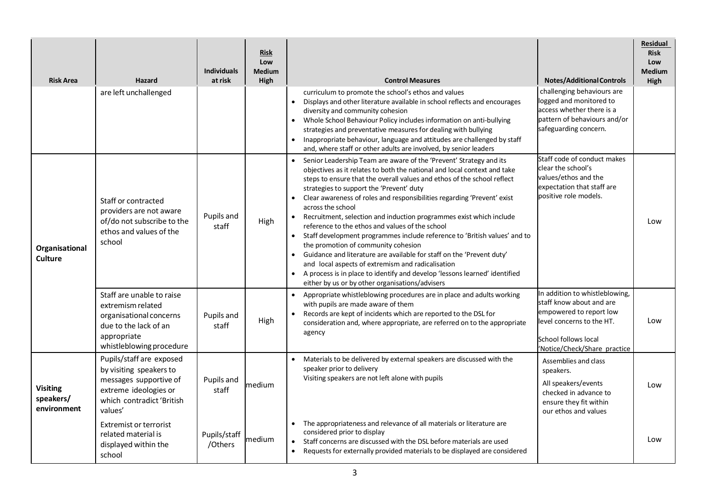| <b>Risk Area</b>                            | Hazard                                                                                                                                         | <b>Individuals</b><br>at risk | <b>Risk</b><br>Low<br><b>Medium</b><br>High | <b>Control Measures</b><br><b>Notes/Additional Controls</b>                                                                                                                                                                                                                                                                                                                                                                                                                                                                                                                                                                                                                                                                                                                                                                                                                                                                                                                                                                                                     | <b>Residual</b><br><b>Risk</b><br>Low<br><b>Medium</b><br><b>High</b> |
|---------------------------------------------|------------------------------------------------------------------------------------------------------------------------------------------------|-------------------------------|---------------------------------------------|-----------------------------------------------------------------------------------------------------------------------------------------------------------------------------------------------------------------------------------------------------------------------------------------------------------------------------------------------------------------------------------------------------------------------------------------------------------------------------------------------------------------------------------------------------------------------------------------------------------------------------------------------------------------------------------------------------------------------------------------------------------------------------------------------------------------------------------------------------------------------------------------------------------------------------------------------------------------------------------------------------------------------------------------------------------------|-----------------------------------------------------------------------|
|                                             | are left unchallenged                                                                                                                          |                               |                                             | challenging behaviours are<br>curriculum to promote the school's ethos and values<br>logged and monitored to<br>$\bullet$<br>Displays and other literature available in school reflects and encourages<br>access whether there is a<br>diversity and community cohesion<br>pattern of behaviours and/or<br>Whole School Behaviour Policy includes information on anti-bullying<br>$\bullet$<br>safeguarding concern.<br>strategies and preventative measures for dealing with bullying<br>Inappropriate behaviour, language and attitudes are challenged by staff<br>and, where staff or other adults are involved, by senior leaders                                                                                                                                                                                                                                                                                                                                                                                                                           |                                                                       |
| Organisational<br><b>Culture</b>            | Staff or contracted<br>providers are not aware<br>of/do not subscribe to the<br>ethos and values of the<br>school                              | Pupils and<br>staff           | High                                        | Staff code of conduct makes<br>Senior Leadership Team are aware of the 'Prevent' Strategy and its<br>$\bullet$<br>clear the school's<br>objectives as it relates to both the national and local context and take<br>values/ethos and the<br>steps to ensure that the overall values and ethos of the school reflect<br>expectation that staff are<br>strategies to support the 'Prevent' duty<br>positive role models.<br>Clear awareness of roles and responsibilities regarding 'Prevent' exist<br>across the school<br>Recruitment, selection and induction programmes exist which include<br>$\bullet$<br>reference to the ethos and values of the school<br>• Staff development programmes include reference to 'British values' and to<br>the promotion of community cohesion<br>Guidance and literature are available for staff on the 'Prevent duty'<br>and local aspects of extremism and radicalisation<br>A process is in place to identify and develop 'lessons learned' identified<br>$\bullet$<br>either by us or by other organisations/advisers | Low                                                                   |
|                                             | Staff are unable to raise<br>extremism related<br>organisational concerns<br>due to the lack of an<br>appropriate<br>whistleblowing procedure  | Pupils and<br>staff           | High                                        | In addition to whistleblowing,<br>Appropriate whistleblowing procedures are in place and adults working<br>staff know about and are<br>with pupils are made aware of them<br>empowered to report low<br>$\bullet$<br>Records are kept of incidents which are reported to the DSL for<br>level concerns to the HT.<br>consideration and, where appropriate, are referred on to the appropriate<br>agency<br>School follows local<br>'Notice/Check/Share practice                                                                                                                                                                                                                                                                                                                                                                                                                                                                                                                                                                                                 | Low                                                                   |
| <b>Visiting</b><br>speakers/<br>environment | Pupils/staff are exposed<br>by visiting speakers to<br>messages supportive of<br>extreme ideologies or<br>which contradict 'British<br>values' | Pupils and<br>staff           | medium                                      | Materials to be delivered by external speakers are discussed with the<br>Assemblies and class<br>speaker prior to delivery<br>speakers.<br>Visiting speakers are not left alone with pupils<br>All speakers/events<br>checked in advance to<br>ensure they fit within<br>our ethos and values                                                                                                                                                                                                                                                                                                                                                                                                                                                                                                                                                                                                                                                                                                                                                                   | Low                                                                   |
|                                             | <b>Extremist or terrorist</b><br>related material is<br>displayed within the<br>school                                                         | Pupils/staff<br>/Others       | medium                                      | The appropriateness and relevance of all materials or literature are<br>considered prior to display<br>Staff concerns are discussed with the DSL before materials are used<br>Requests for externally provided materials to be displayed are considered<br>$\bullet$                                                                                                                                                                                                                                                                                                                                                                                                                                                                                                                                                                                                                                                                                                                                                                                            | Low                                                                   |